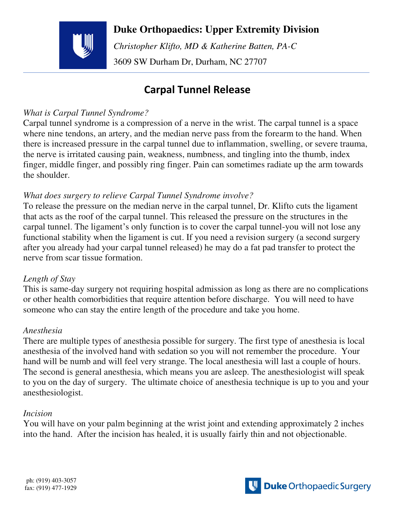## **Duke Orthopaedics: Upper Extremity Division**



 *Christopher Klifto, MD & Katherine Batten, PA-C*  3609 SW Durham Dr, Durham, NC 27707

# **Carpal Tunnel Release**

### *What is Carpal Tunnel Syndrome?*

Carpal tunnel syndrome is a compression of a nerve in the wrist. The carpal tunnel is a space where nine tendons, an artery, and the median nerve pass from the forearm to the hand. When there is increased pressure in the carpal tunnel due to inflammation, swelling, or severe trauma, the nerve is irritated causing pain, weakness, numbness, and tingling into the thumb, index finger, middle finger, and possibly ring finger. Pain can sometimes radiate up the arm towards the shoulder.

### *What does surgery to relieve Carpal Tunnel Syndrome involve?*

To release the pressure on the median nerve in the carpal tunnel, Dr. Klifto cuts the ligament that acts as the roof of the carpal tunnel. This released the pressure on the structures in the carpal tunnel. The ligament's only function is to cover the carpal tunnel-you will not lose any functional stability when the ligament is cut. If you need a revision surgery (a second surgery after you already had your carpal tunnel released) he may do a fat pad transfer to protect the nerve from scar tissue formation.

### *Length of Stay*

This is same-day surgery not requiring hospital admission as long as there are no complications or other health comorbidities that require attention before discharge. You will need to have someone who can stay the entire length of the procedure and take you home.

### *Anesthesia*

There are multiple types of anesthesia possible for surgery. The first type of anesthesia is local anesthesia of the involved hand with sedation so you will not remember the procedure. Your hand will be numb and will feel very strange. The local anesthesia will last a couple of hours. The second is general anesthesia, which means you are asleep. The anesthesiologist will speak to you on the day of surgery. The ultimate choice of anesthesia technique is up to you and your anesthesiologist.

### *Incision*

You will have on your palm beginning at the wrist joint and extending approximately 2 inches into the hand. After the incision has healed, it is usually fairly thin and not objectionable.